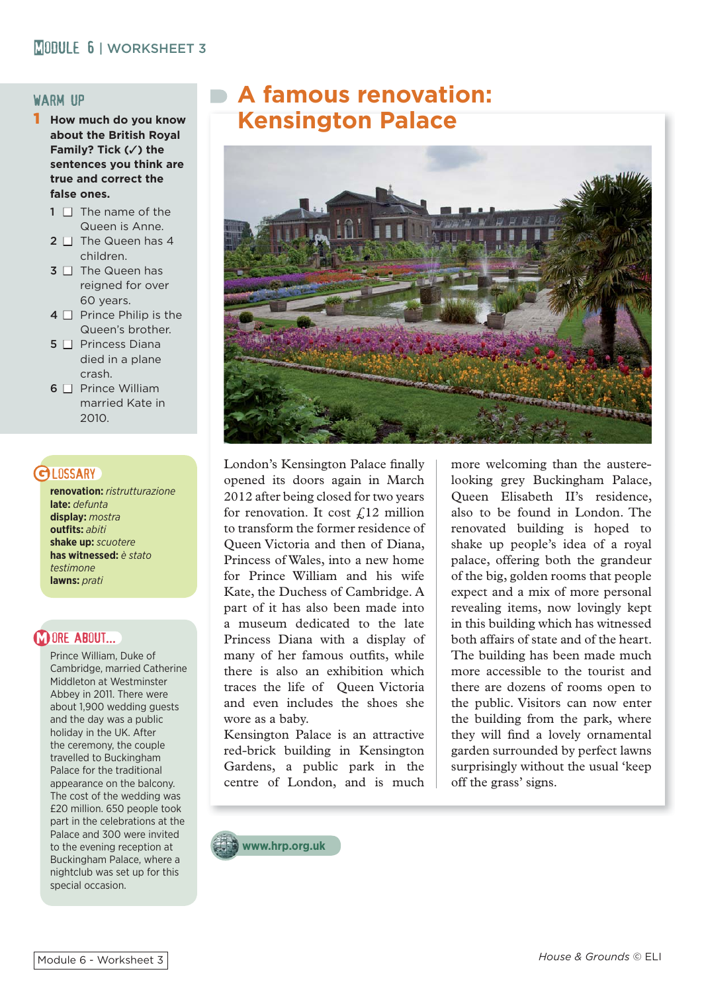#### warm up

- 1 **How much do you know about the British Royal Family? Tick (**✓**) the sentences you think are true and correct the false ones.**
	- $1 \n\Box$  The name of the Queen is Anne.
	- $2 \Box$  The Queen has 4 children.
	- $3 \Box$  The Queen has reigned for over 60 years.
	- $4 \Box$  Prince Philip is the Queen's brother.
	- $5 \Box$  Princess Diana died in a plane crash.
	- $6 \Box$  Prince William married Kate in 2010.

# **GI DSSARY**

**renovation:** *ristrutturazione* **late:** *defunta* **display:** *mostra* **outfits:** *abiti* **shake up:** *scuotere* **has witnessed:** *è stato testimone* **lawns:** *prati*

# **M ORE ABOUT...**

Prince William, Duke of Cambridge, married Catherine Middleton at Westminster Abbey in 2011. There were about 1,900 wedding guests and the day was a public holiday in the UK. After the ceremony, the couple travelled to Buckingham Palace for the traditional appearance on the balcony. The cost of the wedding was £20 million. 650 people took part in the celebrations at the Palace and 300 were invited to the evening reception at Buckingham Palace, where a nightclub was set up for this special occasion.

# **A famous renovation: Kensington Palace**



London's Kensington Palace finally opened its doors again in March 2012 after being closed for two years for renovation. It cost  $f_{12}$  million to transform the former residence of Queen Victoria and then of Diana, Princess of Wales, into a new home for Prince William and his wife Kate, the Duchess of Cambridge. A part of it has also been made into a museum dedicated to the late Princess Diana with a display of many of her famous outfits, while there is also an exhibition which traces the life of Queen Victoria and even includes the shoes she wore as a baby.

Kensington Palace is an attractive red-brick building in Kensington Gardens, a public park in the centre of London, and is much

more welcoming than the austerelooking grey Buckingham Palace, Queen Elisabeth II's residence, also to be found in London. The renovated building is hoped to shake up people's idea of a royal palace, offering both the grandeur of the big, golden rooms that people expect and a mix of more personal revealing items, now lovingly kept in this building which has witnessed both affairs of state and of the heart. The building has been made much more accessible to the tourist and there are dozens of rooms open to the public. Visitors can now enter the building from the park, where they will find a lovely ornamental garden surrounded by perfect lawns surprisingly without the usual 'keep off the grass' signs.